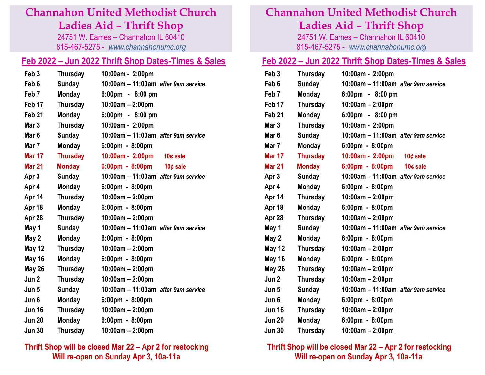### **Channahon United Methodist Church**

**Ladies Aid – Thrift Shop**

24751 W. Eames – Channahon IL 60410 815-467-5275 - *[www.channahonumc.](http://www.channahonumc/)org*

### **Feb 2022 – Jun 2022 Thrift Shop Dates-Times & Sales**

| Feb <sub>3</sub>  | <b>Thursday</b> | 10:00am - 2:00pm                              |
|-------------------|-----------------|-----------------------------------------------|
| Feb <sub>6</sub>  | <b>Sunday</b>   | 10:00am - 11:00am after 9am service           |
| Feb <sub>7</sub>  | <b>Monday</b>   | 6:00pm - 8:00 pm                              |
| Feb 17            | Thursday        | 10:00am - 2:00pm                              |
| Feb <sub>21</sub> | <b>Monday</b>   | $6:00 \text{pm}$ - $8:00 \text{pm}$           |
| Mar 3             | Thursday        | 10:00am - 2:00pm                              |
| Mar <sub>6</sub>  | <b>Sunday</b>   | 10:00am - 11:00am after 9am service           |
| Mar 7             | Monday          | $6:00 \text{pm} - 8:00 \text{pm}$             |
| <b>Mar 17</b>     | <b>Thursday</b> | 10:00am - 2:00pm<br>10 $¢$ sale               |
| <b>Mar 21</b>     | <b>Monday</b>   | $6:00 \text{pm} - 8:00 \text{pm}$<br>10¢ sale |
| Apr <sub>3</sub>  | <b>Sunday</b>   | 10:00am - 11:00am after 9am service           |
| Apr 4             | Monday          | $6:00 \text{pm} - 8:00 \text{pm}$             |
| Apr 14            | Thursday        | $10:00am - 2:00pm$                            |
| Apr 18            | <b>Monday</b>   | $6:00 \text{pm} - 8:00 \text{pm}$             |
| Apr 28            | Thursday        | 10:00am - 2:00pm                              |
| May 1             | <b>Sunday</b>   | 10:00am - 11:00am after 9am service           |
| May 2             | <b>Monday</b>   | $6:00 \text{pm} - 8:00 \text{pm}$             |
| <b>May 12</b>     | Thursday        | $10:00$ am - 2:00pm                           |
| May 16            | <b>Monday</b>   | $6:00 \text{pm} - 8:00 \text{pm}$             |
| <b>May 26</b>     | <b>Thursday</b> | $10:00$ am $-2:00$ pm                         |
| Jun 2             | <b>Thursday</b> | $10:00$ am $- 2:00$ pm                        |
| Jun 5             | <b>Sunday</b>   | 10:00am - 11:00am after 9am service           |
| Jun 6             | Monday          | $6:00 \text{pm} - 8:00 \text{pm}$             |
| <b>Jun 16</b>     | Thursday        | $10:00$ am $-2:00$ pm                         |
| <b>Jun 20</b>     | <b>Monday</b>   | $6:00 \text{pm} - 8:00 \text{pm}$             |
| <b>Jun 30</b>     | <b>Thursday</b> | 10:00am - 2:00pm                              |

#### **Thrift Shop will be closed Mar 22 – Apr 2 for restocking Will re-open on Sunday Apr 3, 10a-11a**

## **Channahon United Methodist Church Ladies Aid – Thrift Shop**

24751 W. Eames – Channahon IL 60410 815-467-5275 - *[www.channahonumc.](http://www.channahonumc/)org*

#### **Feb 2022 – Jun 2022 Thrift Shop Dates-Times & Sales**

| Feb <sub>3</sub>  | <b>Thursday</b> | 10:00am - 2:00pm                    |  |
|-------------------|-----------------|-------------------------------------|--|
| Feb 6             | <b>Sunday</b>   | 10:00am - 11:00am after 9am service |  |
| Feb <sub>7</sub>  | Monday          | $6:00 \text{pm}$ - $8:00 \text{pm}$ |  |
| Feb 17            | Thursday        | $10:00am - 2:00pm$                  |  |
| Feb <sub>21</sub> | <b>Monday</b>   | 6:00pm - 8:00 pm                    |  |
| Mar 3             | <b>Thursday</b> | 10:00am - 2:00pm                    |  |
| Mar <sub>6</sub>  | <b>Sunday</b>   | 10:00am - 11:00am after 9am service |  |
| Mar 7             | <b>Monday</b>   | $6:00 \text{pm} - 8:00 \text{pm}$   |  |
| <b>Mar 17</b>     | <b>Thursday</b> | 10:00am - 2:00pm<br>10 $¢$ sale     |  |
| <b>Mar 21</b>     | <b>Monday</b>   | 6:00pm - 8:00pm<br>10 $¢$ sale      |  |
| Apr 3             | <b>Sunday</b>   | 10:00am - 11:00am after 9am service |  |
| Apr 4             | <b>Monday</b>   | $6:00 \text{pm} - 8:00 \text{pm}$   |  |
| Apr 14            | Thursday        | $10:00am - 2:00pm$                  |  |
| Apr 18            | <b>Monday</b>   | $6:00 \text{pm} - 8:00 \text{pm}$   |  |
| Apr 28            | Thursday        | $10:00am - 2:00pm$                  |  |
| May 1             | <b>Sunday</b>   | 10:00am - 11:00am after 9am service |  |
| May 2             | <b>Monday</b>   | $6:00 \text{pm} - 8:00 \text{pm}$   |  |
| <b>May 12</b>     | Thursday        | $10:00am - 2:00pm$                  |  |
| May 16            | <b>Monday</b>   | 6:00pm - 8:00pm                     |  |
| <b>May 26</b>     | Thursday        | $10:00am - 2:00pm$                  |  |
| Jun 2             | Thursday        | $10:00$ am $- 2:00$ pm              |  |
| Jun 5             | <b>Sunday</b>   | 10:00am - 11:00am after 9am service |  |
| Jun 6             | Monday          | $6:00 \text{pm} - 8:00 \text{pm}$   |  |
| Jun 16            | Thursday        | $10:00am - 2:00pm$                  |  |
| <b>Jun 20</b>     | <b>Monday</b>   | $6:00 \text{pm} - 8:00 \text{pm}$   |  |
| <b>Jun 30</b>     | Thursday        | 10:00am - 2:00pm                    |  |
|                   |                 |                                     |  |

#### **Thrift Shop will be closed Mar 22 – Apr 2 for restocking Will re-open on Sunday Apr 3, 10a-11a**